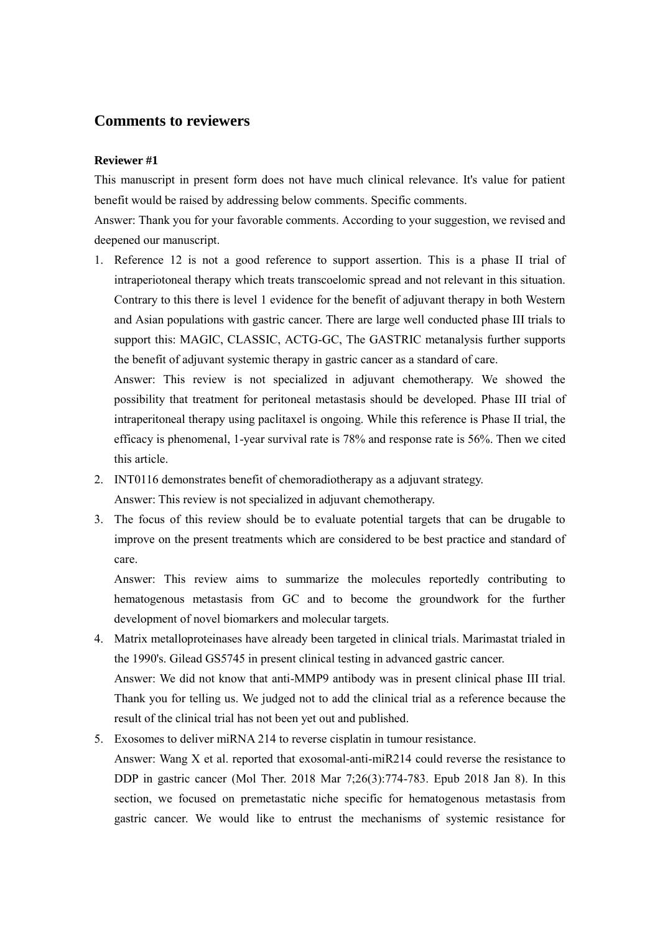## **Comments to reviewers**

## **Reviewer #1**

This manuscript in present form does not have much clinical relevance. It's value for patient benefit would be raised by addressing below comments. Specific comments.

Answer: Thank you for your favorable comments. According to your suggestion, we revised and deepened our manuscript.

1. Reference 12 is not a good reference to support assertion. This is a phase II trial of intraperiotoneal therapy which treats transcoelomic spread and not relevant in this situation. Contrary to this there is level 1 evidence for the benefit of adjuvant therapy in both Western and Asian populations with gastric cancer. There are large well conducted phase III trials to support this: MAGIC, CLASSIC, ACTG-GC, The GASTRIC metanalysis further supports the benefit of adjuvant systemic therapy in gastric cancer as a standard of care.

Answer: This review is not specialized in adjuvant chemotherapy. We showed the possibility that treatment for peritoneal metastasis should be developed. Phase III trial of intraperitoneal therapy using paclitaxel is ongoing. While this reference is Phase II trial, the efficacy is phenomenal, 1-year survival rate is 78% and response rate is 56%. Then we cited this article.

- 2. INT0116 demonstrates benefit of chemoradiotherapy as a adjuvant strategy. Answer: This review is not specialized in adjuvant chemotherapy.
- 3. The focus of this review should be to evaluate potential targets that can be drugable to improve on the present treatments which are considered to be best practice and standard of care.

Answer: This review aims to summarize the molecules reportedly contributing to hematogenous metastasis from GC and to become the groundwork for the further development of novel biomarkers and molecular targets.

4. Matrix metalloproteinases have already been targeted in clinical trials. Marimastat trialed in the 1990's. Gilead GS5745 in present clinical testing in advanced gastric cancer.

Answer: We did not know that anti-MMP9 antibody was in present clinical phase III trial. Thank you for telling us. We judged not to add the clinical trial as a reference because the result of the clinical trial has not been yet out and published.

5. Exosomes to deliver miRNA 214 to reverse cisplatin in tumour resistance.

Answer: Wang X et al. reported that exosomal-anti-miR214 could reverse the resistance to DDP in gastric cancer (Mol Ther. 2018 Mar 7;26(3):774-783. Epub 2018 Jan 8). In this section, we focused on premetastatic niche specific for hematogenous metastasis from gastric cancer. We would like to entrust the mechanisms of systemic resistance for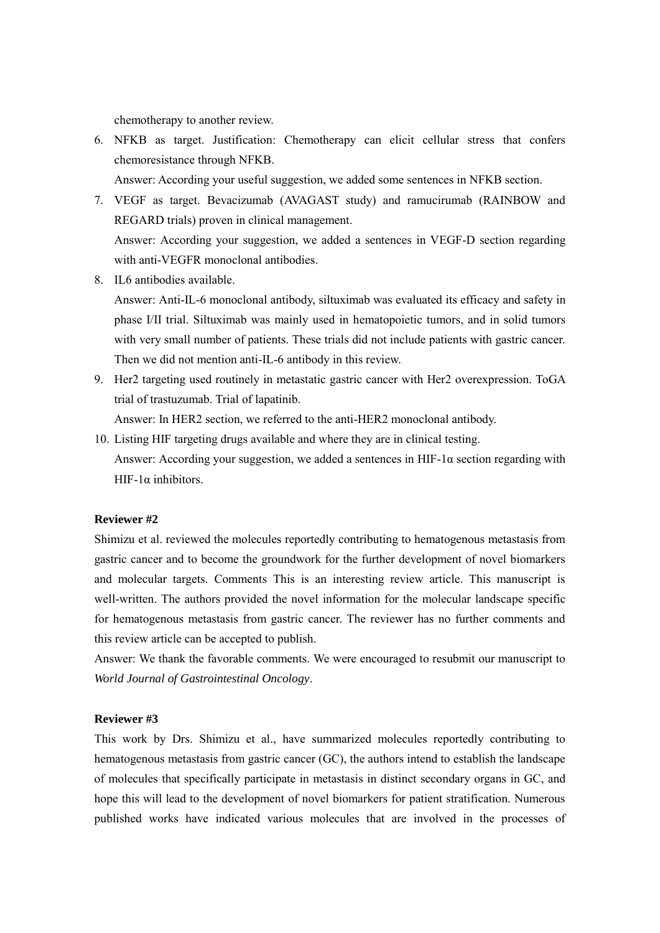chemotherapy to another review.

6. NFKB as target. Justification: Chemotherapy can elicit cellular stress that confers chemoresistance through NFKB.

Answer: According your useful suggestion, we added some sentences in NFKB section.

- 7. VEGF as target. Bevacizumab (AVAGAST study) and ramucirumab (RAINBOW and REGARD trials) proven in clinical management. Answer: According your suggestion, we added a sentences in VEGF-D section regarding with anti-VEGFR monoclonal antibodies.
- 8. IL6 antibodies available.

Answer: Anti-IL-6 monoclonal antibody, siltuximab was evaluated its efficacy and safety in phase I/II trial. Siltuximab was mainly used in hematopoietic tumors, and in solid tumors with very small number of patients. These trials did not include patients with gastric cancer. Then we did not mention anti-IL-6 antibody in this review.

9. Her2 targeting used routinely in metastatic gastric cancer with Her2 overexpression. ToGA trial of trastuzumab. Trial of lapatinib.

Answer: In HER2 section, we referred to the anti-HER2 monoclonal antibody.

10. Listing HIF targeting drugs available and where they are in clinical testing. Answer: According your suggestion, we added a sentences in HIF-1 $\alpha$  section regarding with HIF-1 $α$  inhibitors.

## **Reviewer #2**

Shimizu et al. reviewed the molecules reportedly contributing to hematogenous metastasis from gastric cancer and to become the groundwork for the further development of novel biomarkers and molecular targets. Comments This is an interesting review article. This manuscript is well-written. The authors provided the novel information for the molecular landscape specific for hematogenous metastasis from gastric cancer. The reviewer has no further comments and this review article can be accepted to publish.

Answer: We thank the favorable comments. We were encouraged to resubmit our manuscript to *World Journal of Gastrointestinal Oncology*.

## **Reviewer #3**

This work by Drs. Shimizu et al., have summarized molecules reportedly contributing to hematogenous metastasis from gastric cancer (GC), the authors intend to establish the landscape of molecules that specifically participate in metastasis in distinct secondary organs in GC, and hope this will lead to the development of novel biomarkers for patient stratification. Numerous published works have indicated various molecules that are involved in the processes of